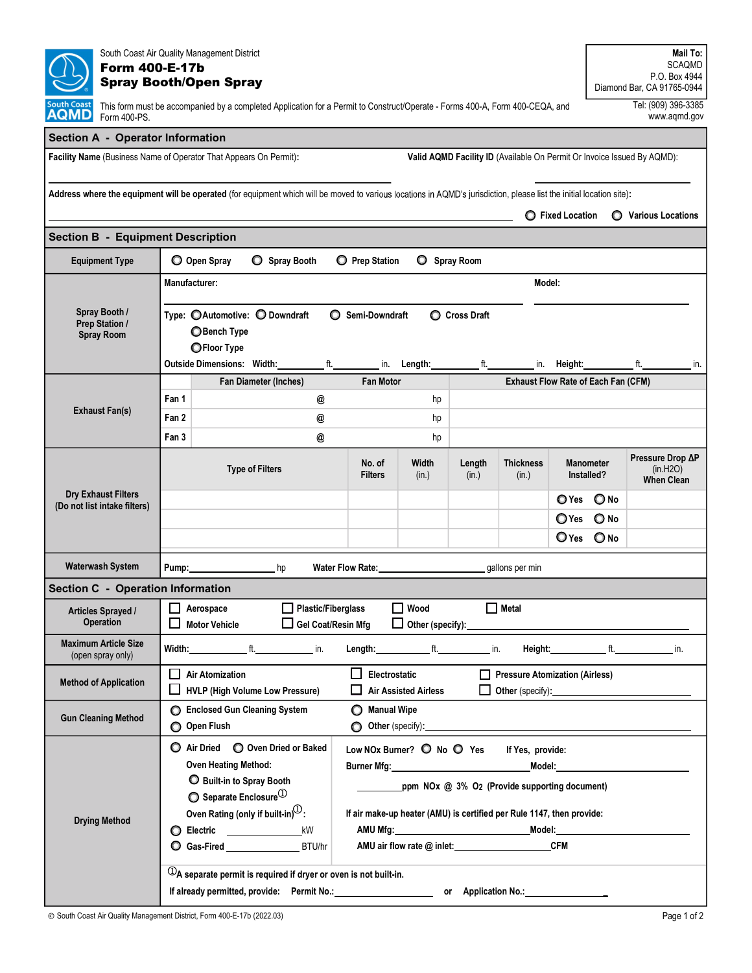| South Coast Air Quality Management District<br><b>Form 400-E-17b</b><br><b>Spray Booth/Open Spray</b>                                                                                                             |                                                                                                                                                                                                                                                                                                                                                                                              |                                                                       |                                          |                                                                                                                                                                                                                                                                                                                                                            |                                 |                 |                                                                         |                         |                  | Mail To:<br><b>SCAQMD</b><br>P.O. Box 4944<br>Diamond Bar, CA 91765-0944 |     |  |
|-------------------------------------------------------------------------------------------------------------------------------------------------------------------------------------------------------------------|----------------------------------------------------------------------------------------------------------------------------------------------------------------------------------------------------------------------------------------------------------------------------------------------------------------------------------------------------------------------------------------------|-----------------------------------------------------------------------|------------------------------------------|------------------------------------------------------------------------------------------------------------------------------------------------------------------------------------------------------------------------------------------------------------------------------------------------------------------------------------------------------------|---------------------------------|-----------------|-------------------------------------------------------------------------|-------------------------|------------------|--------------------------------------------------------------------------|-----|--|
| Tel: (909) 396-3385<br><b>South Coas</b> t<br>This form must be accompanied by a completed Application for a Permit to Construct/Operate - Forms 400-A, Form 400-CEQA, and<br>AQMD<br>www.aqmd.gov<br>Form 400-PS |                                                                                                                                                                                                                                                                                                                                                                                              |                                                                       |                                          |                                                                                                                                                                                                                                                                                                                                                            |                                 |                 |                                                                         |                         |                  |                                                                          |     |  |
| <b>Section A - Operator Information</b>                                                                                                                                                                           |                                                                                                                                                                                                                                                                                                                                                                                              |                                                                       |                                          |                                                                                                                                                                                                                                                                                                                                                            |                                 |                 |                                                                         |                         |                  |                                                                          |     |  |
| Facility Name (Business Name of Operator That Appears On Permit):                                                                                                                                                 |                                                                                                                                                                                                                                                                                                                                                                                              |                                                                       |                                          |                                                                                                                                                                                                                                                                                                                                                            |                                 |                 | Valid AQMD Facility ID (Available On Permit Or Invoice Issued By AQMD): |                         |                  |                                                                          |     |  |
|                                                                                                                                                                                                                   |                                                                                                                                                                                                                                                                                                                                                                                              |                                                                       |                                          |                                                                                                                                                                                                                                                                                                                                                            |                                 |                 |                                                                         |                         |                  |                                                                          |     |  |
| Address where the equipment will be operated (for equipment which will be moved to various locations in AQMD's jurisdiction, please list the initial location site):                                              |                                                                                                                                                                                                                                                                                                                                                                                              |                                                                       |                                          |                                                                                                                                                                                                                                                                                                                                                            |                                 |                 |                                                                         | <b>C</b> Fixed Location |                  | <b>O</b> Various Locations                                               |     |  |
| <b>Section B - Equipment Description</b>                                                                                                                                                                          |                                                                                                                                                                                                                                                                                                                                                                                              |                                                                       |                                          |                                                                                                                                                                                                                                                                                                                                                            |                                 |                 |                                                                         |                         |                  |                                                                          |     |  |
| O Open Spray<br>Spray Booth<br><b>Equipment Type</b><br><b>O</b> Prep Station<br>Spray Room                                                                                                                       |                                                                                                                                                                                                                                                                                                                                                                                              |                                                                       |                                          |                                                                                                                                                                                                                                                                                                                                                            |                                 |                 |                                                                         |                         |                  |                                                                          |     |  |
|                                                                                                                                                                                                                   | <b>Manufacturer:</b><br>Model:                                                                                                                                                                                                                                                                                                                                                               |                                                                       |                                          |                                                                                                                                                                                                                                                                                                                                                            |                                 |                 |                                                                         |                         |                  |                                                                          |     |  |
| Spray Booth /<br><b>Prep Station /</b><br><b>Spray Room</b>                                                                                                                                                       |                                                                                                                                                                                                                                                                                                                                                                                              | Type: © Automotive: © Downdraft<br><b>O</b> Bench Type<br>OFloor Type |                                          | ◯ Semi-Downdraft                                                                                                                                                                                                                                                                                                                                           |                                 | C Cross Draft   |                                                                         |                         |                  |                                                                          |     |  |
|                                                                                                                                                                                                                   |                                                                                                                                                                                                                                                                                                                                                                                              | <b>Outside Dimensions: Width:</b>                                     | ft.                                      | in.                                                                                                                                                                                                                                                                                                                                                        | Length:                         | ft.             | in.                                                                     | Height:                 |                  | ft.                                                                      | in. |  |
| <b>Exhaust Fan(s)</b>                                                                                                                                                                                             |                                                                                                                                                                                                                                                                                                                                                                                              | Fan Diameter (Inches)                                                 |                                          | <b>Fan Motor</b>                                                                                                                                                                                                                                                                                                                                           |                                 |                 | Exhaust Flow Rate of Each Fan (CFM)                                     |                         |                  |                                                                          |     |  |
|                                                                                                                                                                                                                   | Fan 1                                                                                                                                                                                                                                                                                                                                                                                        |                                                                       | @                                        |                                                                                                                                                                                                                                                                                                                                                            | hp                              |                 |                                                                         |                         |                  |                                                                          |     |  |
|                                                                                                                                                                                                                   | Fan 2<br>Fan 3                                                                                                                                                                                                                                                                                                                                                                               |                                                                       | @<br>@                                   |                                                                                                                                                                                                                                                                                                                                                            | hp<br>hp                        |                 |                                                                         |                         |                  |                                                                          |     |  |
|                                                                                                                                                                                                                   |                                                                                                                                                                                                                                                                                                                                                                                              |                                                                       |                                          |                                                                                                                                                                                                                                                                                                                                                            |                                 |                 |                                                                         |                         |                  | Pressure Drop ∆P                                                         |     |  |
| <b>Dry Exhaust Filters</b><br>(Do not list intake filters)                                                                                                                                                        | <b>Type of Filters</b>                                                                                                                                                                                                                                                                                                                                                                       |                                                                       |                                          | No. of<br><b>Filters</b>                                                                                                                                                                                                                                                                                                                                   | Width<br>(in.)                  | Length<br>(in.) | <b>Thickness</b><br>(in.)                                               | Installed?              | <b>Manometer</b> | (in.H2O)<br><b>When Clean</b>                                            |     |  |
|                                                                                                                                                                                                                   |                                                                                                                                                                                                                                                                                                                                                                                              |                                                                       |                                          |                                                                                                                                                                                                                                                                                                                                                            |                                 |                 |                                                                         | O Yes                   | $\bigcirc$ No    |                                                                          |     |  |
|                                                                                                                                                                                                                   |                                                                                                                                                                                                                                                                                                                                                                                              |                                                                       |                                          |                                                                                                                                                                                                                                                                                                                                                            |                                 |                 |                                                                         | $\bigcirc$ Yes          | O No             |                                                                          |     |  |
|                                                                                                                                                                                                                   |                                                                                                                                                                                                                                                                                                                                                                                              |                                                                       |                                          |                                                                                                                                                                                                                                                                                                                                                            |                                 |                 |                                                                         | $O$ Yes                 | $\bigcirc$ No    |                                                                          |     |  |
| <b>Waterwash System</b>                                                                                                                                                                                           | Pump:                                                                                                                                                                                                                                                                                                                                                                                        |                                                                       | hp                                       | <b>Water Flow Rate:</b>                                                                                                                                                                                                                                                                                                                                    |                                 |                 | gallons per min                                                         |                         |                  |                                                                          |     |  |
| <b>Section C - Operation Information</b>                                                                                                                                                                          |                                                                                                                                                                                                                                                                                                                                                                                              |                                                                       |                                          |                                                                                                                                                                                                                                                                                                                                                            |                                 |                 |                                                                         |                         |                  |                                                                          |     |  |
| Articles Sprayed /<br>Operation                                                                                                                                                                                   |                                                                                                                                                                                                                                                                                                                                                                                              | Aerospace<br><b>Motor Vehicle</b>                                     | Plastic/Fiberglass<br>Gel Coat/Resin Mfg |                                                                                                                                                                                                                                                                                                                                                            | Wood<br>Other (specify): ______ | ΙI              | Metal                                                                   |                         |                  |                                                                          |     |  |
| <b>Maximum Article Size</b><br>(open spray only)                                                                                                                                                                  |                                                                                                                                                                                                                                                                                                                                                                                              | Width: ft. in.                                                        |                                          |                                                                                                                                                                                                                                                                                                                                                            | Length: t. t. t. in.            |                 |                                                                         |                         |                  | Height: t. t. in.                                                        |     |  |
| <b>Method of Application</b>                                                                                                                                                                                      | $\Box$<br>Electrostatic<br>Pressure Atomization (Airless)<br><b>Air Atomization</b><br>HVLP (High Volume Low Pressure)<br><b>Air Assisted Airless</b><br>Other (specify): <u>contained</u> and the contact of the contact of the contact of the contact of the contact of the contact of the contact of the contact of the contact of the contact of the contact of the contact of the conta |                                                                       |                                          |                                                                                                                                                                                                                                                                                                                                                            |                                 |                 |                                                                         |                         |                  |                                                                          |     |  |
| <b>Gun Cleaning Method</b>                                                                                                                                                                                        | Manual Wipe<br>Enclosed Gun Cleaning System<br>O Open Flush<br>$\bigcirc$ Other (specify): $\qquad \qquad$ Other (specify):                                                                                                                                                                                                                                                                  |                                                                       |                                          |                                                                                                                                                                                                                                                                                                                                                            |                                 |                 |                                                                         |                         |                  |                                                                          |     |  |
|                                                                                                                                                                                                                   | Air Dried O Oven Dried or Baked<br>Low NOx Burner? O No O Yes<br>If Yes, provide:                                                                                                                                                                                                                                                                                                            |                                                                       |                                          |                                                                                                                                                                                                                                                                                                                                                            |                                 |                 |                                                                         |                         |                  |                                                                          |     |  |
|                                                                                                                                                                                                                   |                                                                                                                                                                                                                                                                                                                                                                                              | Oven Heating Method:                                                  |                                          | Burner Mfg: National Assembly Property of the United States and Assembly Property of the United States and Assembly<br>Model: <b>Model</b> Service and Service and Service and Service and Service and Service and Service and Service and Service and Service and Service and Service and Service and Service and Service and Service and Service and Ser |                                 |                 |                                                                         |                         |                  |                                                                          |     |  |
|                                                                                                                                                                                                                   |                                                                                                                                                                                                                                                                                                                                                                                              | <b>O</b> Built-in to Spray Booth                                      |                                          | ppm NOx @ 3% O2 (Provide supporting document)                                                                                                                                                                                                                                                                                                              |                                 |                 |                                                                         |                         |                  |                                                                          |     |  |
|                                                                                                                                                                                                                   | $\bullet$ Separate Enclosure <sup>(1)</sup>                                                                                                                                                                                                                                                                                                                                                  |                                                                       |                                          |                                                                                                                                                                                                                                                                                                                                                            |                                 |                 |                                                                         |                         |                  |                                                                          |     |  |
| <b>Drying Method</b>                                                                                                                                                                                              | Oven Rating (only if built-in) $(1)$ :<br>If air make-up heater (AMU) is certified per Rule 1147, then provide:<br><b>O Electric</b> _____________<br>kW                                                                                                                                                                                                                                     |                                                                       |                                          |                                                                                                                                                                                                                                                                                                                                                            |                                 |                 |                                                                         |                         |                  |                                                                          |     |  |
|                                                                                                                                                                                                                   | AMU air flow rate @ inlet: CFM<br>Gas-Fired BTU/hr                                                                                                                                                                                                                                                                                                                                           |                                                                       |                                          |                                                                                                                                                                                                                                                                                                                                                            |                                 |                 |                                                                         |                         |                  |                                                                          |     |  |
|                                                                                                                                                                                                                   | $\mathbb O$ A separate permit is required if dryer or oven is not built-in.                                                                                                                                                                                                                                                                                                                  |                                                                       |                                          |                                                                                                                                                                                                                                                                                                                                                            |                                 |                 |                                                                         |                         |                  |                                                                          |     |  |
|                                                                                                                                                                                                                   |                                                                                                                                                                                                                                                                                                                                                                                              |                                                                       |                                          |                                                                                                                                                                                                                                                                                                                                                            |                                 |                 |                                                                         |                         |                  |                                                                          |     |  |